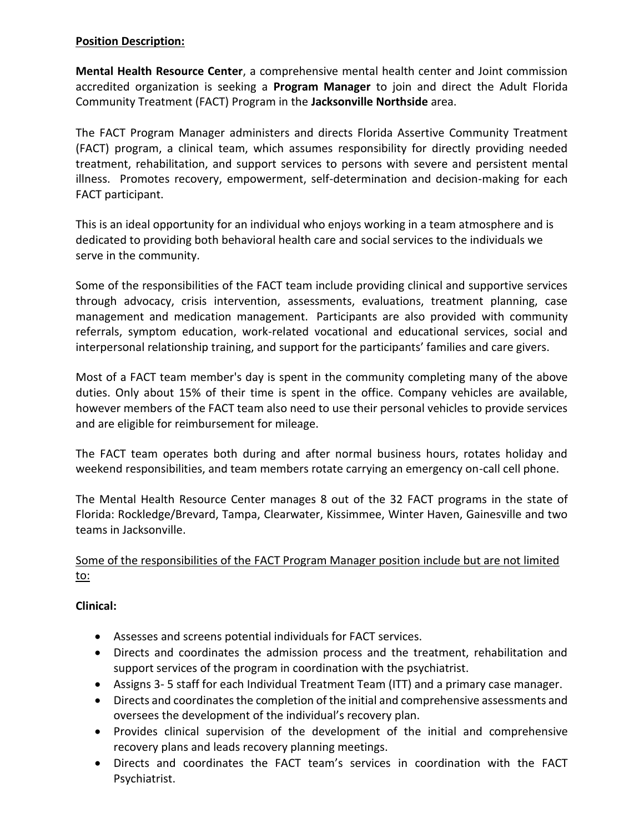#### **Position Description:**

**Mental Health Resource Center**, a comprehensive mental health center and Joint commission accredited organization is seeking a **Program Manager** to join and direct the Adult Florida Community Treatment (FACT) Program in the **Jacksonville Northside** area.

The FACT Program Manager administers and directs Florida Assertive Community Treatment (FACT) program, a clinical team, which assumes responsibility for directly providing needed treatment, rehabilitation, and support services to persons with severe and persistent mental illness. Promotes recovery, empowerment, self-determination and decision-making for each FACT participant.

This is an ideal opportunity for an individual who enjoys working in a team atmosphere and is dedicated to providing both behavioral health care and social services to the individuals we serve in the community.

Some of the responsibilities of the FACT team include providing clinical and supportive services through advocacy, crisis intervention, assessments, evaluations, treatment planning, case management and medication management. Participants are also provided with community referrals, symptom education, work-related vocational and educational services, social and interpersonal relationship training, and support for the participants' families and care givers.

Most of a FACT team member's day is spent in the community completing many of the above duties. Only about 15% of their time is spent in the office. Company vehicles are available, however members of the FACT team also need to use their personal vehicles to provide services and are eligible for reimbursement for mileage.

The FACT team operates both during and after normal business hours, rotates holiday and weekend responsibilities, and team members rotate carrying an emergency on-call cell phone.

The Mental Health Resource Center manages 8 out of the 32 FACT programs in the state of Florida: Rockledge/Brevard, Tampa, Clearwater, Kissimmee, Winter Haven, Gainesville and two teams in Jacksonville.

## Some of the responsibilities of the FACT Program Manager position include but are not limited to:

### **Clinical:**

- Assesses and screens potential individuals for FACT services.
- Directs and coordinates the admission process and the treatment, rehabilitation and support services of the program in coordination with the psychiatrist.
- Assigns 3- 5 staff for each Individual Treatment Team (ITT) and a primary case manager.
- Directs and coordinates the completion of the initial and comprehensive assessments and oversees the development of the individual's recovery plan.
- Provides clinical supervision of the development of the initial and comprehensive recovery plans and leads recovery planning meetings.
- Directs and coordinates the FACT team's services in coordination with the FACT Psychiatrist.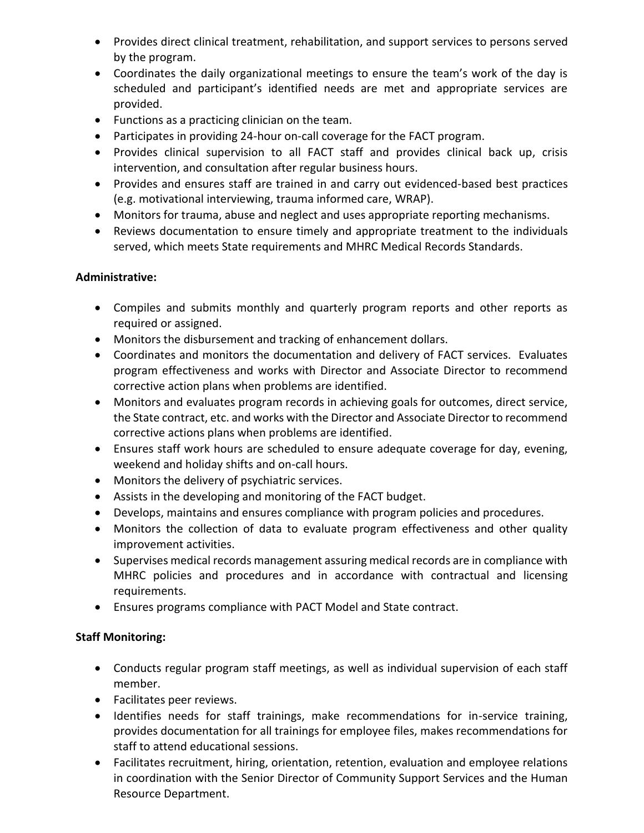- Provides direct clinical treatment, rehabilitation, and support services to persons served by the program.
- Coordinates the daily organizational meetings to ensure the team's work of the day is scheduled and participant's identified needs are met and appropriate services are provided.
- Functions as a practicing clinician on the team.
- Participates in providing 24-hour on-call coverage for the FACT program.
- Provides clinical supervision to all FACT staff and provides clinical back up, crisis intervention, and consultation after regular business hours.
- Provides and ensures staff are trained in and carry out evidenced-based best practices (e.g. motivational interviewing, trauma informed care, WRAP).
- Monitors for trauma, abuse and neglect and uses appropriate reporting mechanisms.
- Reviews documentation to ensure timely and appropriate treatment to the individuals served, which meets State requirements and MHRC Medical Records Standards.

## **Administrative:**

- Compiles and submits monthly and quarterly program reports and other reports as required or assigned.
- Monitors the disbursement and tracking of enhancement dollars.
- Coordinates and monitors the documentation and delivery of FACT services. Evaluates program effectiveness and works with Director and Associate Director to recommend corrective action plans when problems are identified.
- Monitors and evaluates program records in achieving goals for outcomes, direct service, the State contract, etc. and works with the Director and Associate Director to recommend corrective actions plans when problems are identified.
- Ensures staff work hours are scheduled to ensure adequate coverage for day, evening, weekend and holiday shifts and on-call hours.
- Monitors the delivery of psychiatric services.
- Assists in the developing and monitoring of the FACT budget.
- Develops, maintains and ensures compliance with program policies and procedures.
- Monitors the collection of data to evaluate program effectiveness and other quality improvement activities.
- Supervises medical records management assuring medical records are in compliance with MHRC policies and procedures and in accordance with contractual and licensing requirements.
- Ensures programs compliance with PACT Model and State contract.

# **Staff Monitoring:**

- Conducts regular program staff meetings, as well as individual supervision of each staff member.
- Facilitates peer reviews.
- Identifies needs for staff trainings, make recommendations for in-service training, provides documentation for all trainings for employee files, makes recommendations for staff to attend educational sessions.
- Facilitates recruitment, hiring, orientation, retention, evaluation and employee relations in coordination with the Senior Director of Community Support Services and the Human Resource Department.